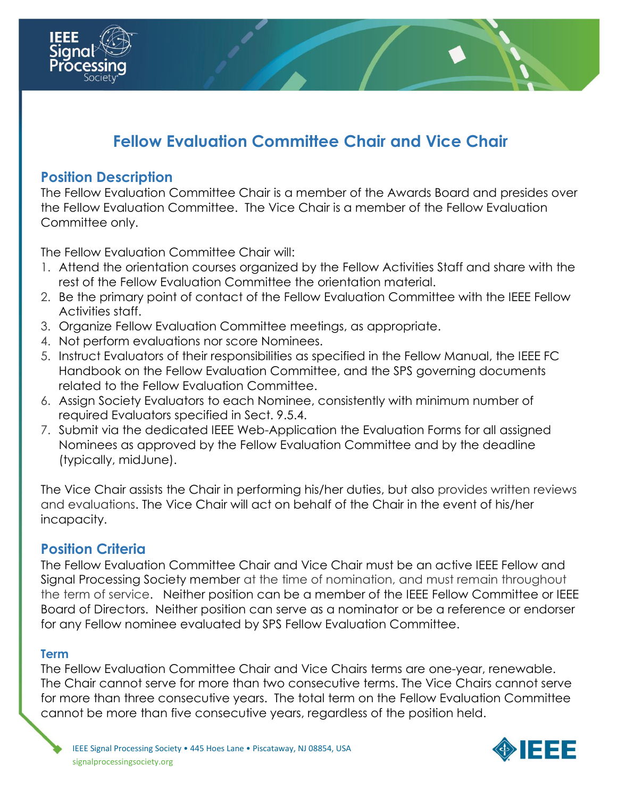

### **Position Description**

1333

Processi

The Fellow Evaluation Committee Chair is a member of the Awards Board and presides over the Fellow Evaluation Committee. The Vice Chair is a member of the Fellow Evaluation Committee only.

The Fellow Evaluation Committee Chair will:

- 1. Attend the orientation courses organized by the Fellow Activities Staff and share with the rest of the Fellow Evaluation Committee the orientation material.
- 2. Be the primary point of contact of the Fellow Evaluation Committee with the IEEE Fellow Activities staff.
- 3. Organize Fellow Evaluation Committee meetings, as appropriate.
- 4. Not perform evaluations nor score Nominees.
- 5. Instruct Evaluators of their responsibilities as specified in the Fellow Manual, the IEEE FC Handbook on the Fellow Evaluation Committee, and the SPS governing documents related to the Fellow Evaluation Committee.
- 6. Assign Society Evaluators to each Nominee, consistently with minimum number of required Evaluators specified in Sect. 9.5.4.
- 7. Submit via the dedicated IEEE Web-Application the Evaluation Forms for all assigned Nominees as approved by the Fellow Evaluation Committee and by the deadline (typically, midJune).

The Vice Chair assists the Chair in performing his/her duties, but also provides written reviews and evaluations. The Vice Chair will act on behalf of the Chair in the event of his/her incapacity.

### **Position Criteria**

The Fellow Evaluation Committee Chair and Vice Chair must be an active IEEE Fellow and Signal Processing Society member at the time of nomination, and must remain throughout the term of service. Neither position can be a member of the IEEE Fellow Committee or IEEE Board of Directors. Neither position can serve as a nominator or be a reference or endorser for any Fellow nominee evaluated by SPS Fellow Evaluation Committee.

### **Term**

The Fellow Evaluation Committee Chair and Vice Chairs terms are one-year, renewable. The Chair cannot serve for more than two consecutive terms. The Vice Chairs cannot serve for more than three consecutive years. The total term on the Fellow Evaluation Committee cannot be more than five consecutive years, regardless of the position held.